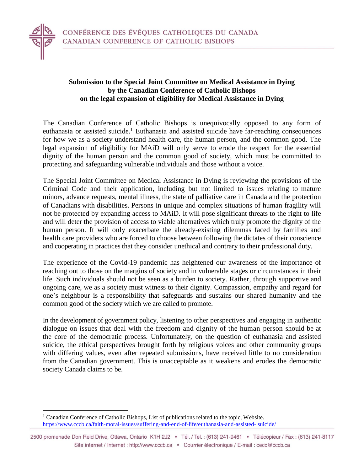

## **Submission to the Special Joint Committee on Medical Assistance in Dying by the Canadian Conference of Catholic Bishops on the legal expansion of eligibility for Medical Assistance in Dying**

The Canadian Conference of Catholic Bishops is unequivocally opposed to any form of euthanasia or assisted suicide.<sup>1</sup> Euthanasia and assisted suicide have far-reaching consequences for how we as a society understand health care, the human person, and the common good. The legal expansion of eligibility for MAiD will only serve to erode the respect for the essential dignity of the human person and the common good of society, which must be committed to protecting and safeguarding vulnerable individuals and those without a voice.

The Special Joint Committee on Medical Assistance in Dying is reviewing the provisions of the Criminal Code and their application, including but not limited to issues relating to mature minors, advance requests, mental illness, the state of palliative care in Canada and the protection of Canadians with disabilities. Persons in unique and complex situations of human fragility will not be protected by expanding access to MAiD. It will pose significant threats to the right to life and will deter the provision of access to viable alternatives which truly promote the dignity of the human person. It will only exacerbate the already-existing dilemmas faced by families and health care providers who are forced to choose between following the dictates of their conscience and cooperating in practices that they consider unethical and contrary to their professional duty.

The experience of the Covid-19 pandemic has heightened our awareness of the importance of reaching out to those on the margins of society and in vulnerable stages or circumstances in their life. Such individuals should not be seen as a burden to society. Rather, through supportive and ongoing care, we as a society must witness to their dignity. Compassion, empathy and regard for one's neighbour is a responsibility that safeguards and sustains our shared humanity and the common good of the society which we are called to promote.

In the development of government policy, listening to other perspectives and engaging in authentic dialogue on issues that deal with the freedom and dignity of the human person should be at the core of the democratic process. Unfortunately, on the question of euthanasia and assisted suicide, the ethical perspectives brought forth by religious voices and other community groups with differing values, even after repeated submissions, have received little to no consideration from the Canadian government. This is unacceptable as it weakens and erodes the democratic society Canada claims to be.

 $\overline{a}$ <sup>1</sup> Canadian Conference of Catholic Bishops, List of publications related to the topic, Website. [https://www.cccb.ca/faith-moral-issues/suffering-and-end-of-life/euthanasia-and-assisted-](https://www.cccb.ca/faith-moral-issues/suffering-and-end-of-life/euthanasia-and-assisted-suicide/) [suicide/](https://www.cccb.ca/faith-moral-issues/suffering-and-end-of-life/euthanasia-and-assisted-suicide/)